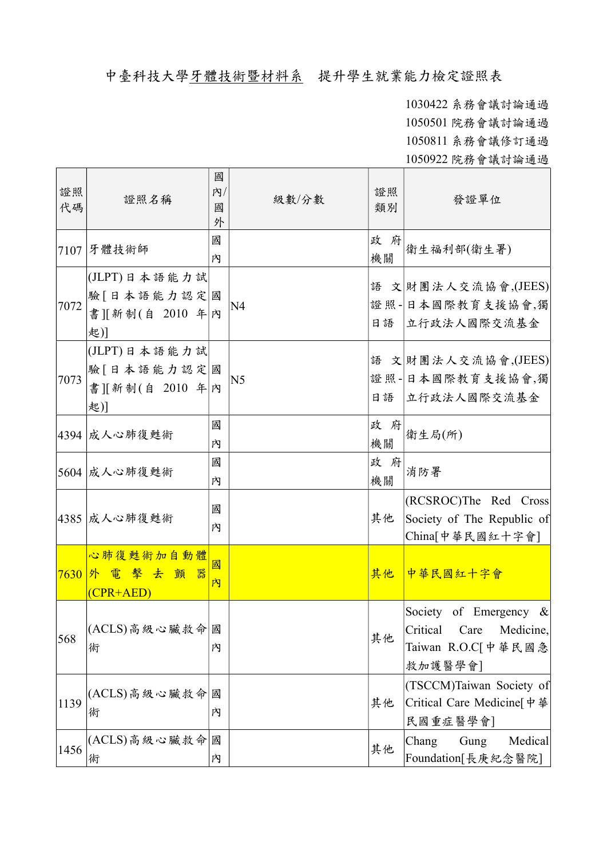## 中臺科技大學牙體技術暨材料系 提升學生就業能力檢定證照表

1030422 系務會議討論通過 1050501 院務會議討論通過 1050811 系務會議修訂通過 1050922 院務會議討論通過

證照 代碼 證照名稱 國 內/ 國 外 級數/分數 證照 發證單位 <sup>7107</sup> 牙體技術師 <sup>國</sup> 內 政 府 機關 衛生福利部(衛生署) 7072 (JLPT)日本語能力試 驗 [日本語能力認定|國 書][新制(自 2010 年 內 起)] N4 語 文 財團法人交流協會,(JEES) 證照-日本國際教育支援協會,獨 日語 立行政法人國際交流基金 7073 (JLPT)日本語能力試 驗 [日本語能力認定|國 書][新制(自 2010 年 內 起)] N5 語 文 財團法人交流協會,(JEES) 證照-日本國際教育支援協會,獨 日語 立行政法人國際交流基金 4394 成人心肺復甦術 國 內 政 府 機關 衛生局(所) 5604 成人心肺復甦術 國 內 政 府 機關 消防署 |4385 成人心肺復甦術 國 內 其他 (RCSROC)The Red Cross Society of The Republic of China[中華民國紅十字會] 7630 外電擊去顫器 心肺復甦術加自動體 (CPR+AED) 國 內 其他 中華民國紅十字會 568 (ACLS)高級心臟救命 國 術 內 其他 Society of Emergency & Critical Care Medicine, Taiwan R.O.C[中華民國急 救加護醫學會] 1139 (ACLS)高級心臟救命 國 術 內 其他 (TSCCM)Taiwan Society of Critical Care Medicine[中華 民國重症醫學會] 1456 (ACLS)高級心臟救命 國 術 內 其他 Chang Gung Medical Foundation[長庚紀念醫院]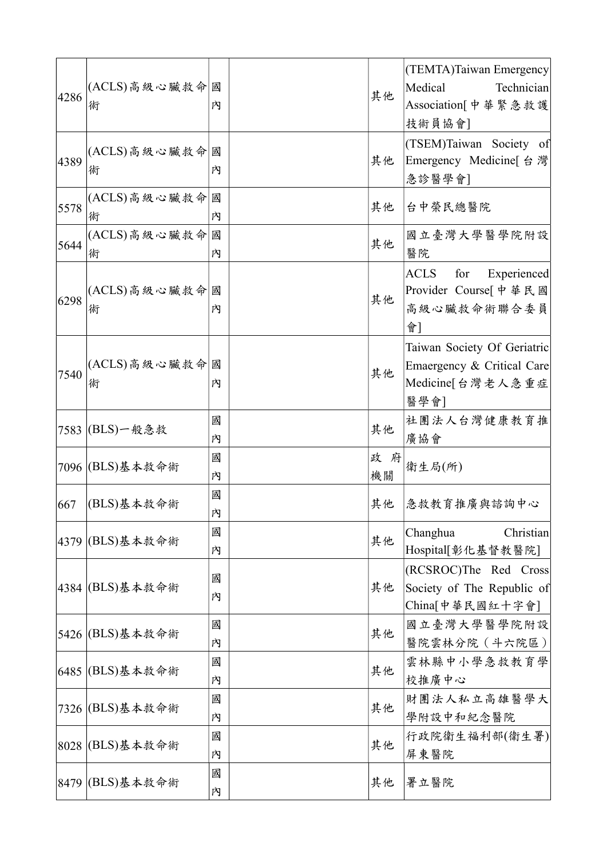| 4286 | (ACLS)高級心臟救命國<br>術 | 內      | 其他        | (TEMTA)Taiwan Emergency<br>Medical<br>Technician<br>Association[中華緊急救護<br>技術員協會]      |
|------|--------------------|--------|-----------|---------------------------------------------------------------------------------------|
| 4389 | (ACLS)高級心臟救命<br>術  | 國<br>內 | 其他        | (TSEM)Taiwan Society of<br>Emergency Medicine[ 台 灣<br>急診醫學會]                          |
| 5578 | (ACLS)高級心臟救命<br>術  | 國<br>內 | 其他        | 台中榮民總醫院                                                                               |
| 5644 | (ACLS)高級心臟救命<br>術  | 國<br>内 | 其他        | 國立臺灣大學醫學院附設<br>醫院                                                                     |
| 6298 | (ACLS)高級心臟救命<br>術  | 國<br>內 | 其他        | <b>ACLS</b><br>for<br>Experienced<br>Provider Course[ 中 華 民 國<br>高級心臟救命術聯合委員<br>會]    |
| 7540 | (ACLS)高級心臟救命<br>術  | 國<br>內 | 其他        | Taiwan Society Of Geriatric<br>Emaergency & Critical Care<br>Medicine[台灣老人急重症<br>醫學會] |
|      | 7583 (BLS)一般急救     | 國<br>內 | 其他        | 社團法人台灣健康教育推<br>廣協會                                                                    |
|      | 7096  (BLS)基本救命術   | 國<br>内 | 政 府<br>機關 | 衛生局(所)                                                                                |
| 667  | (BLS)基本救命術         | 國<br>内 | 其他        | 急救教育推廣與諮詢中心                                                                           |
|      | 4379  (BLS)基本救命術   | 國<br>内 | 其他        | Changhua<br>Christian<br>Hospital[彰化基督教醫院]                                            |
|      | 4384  (BLS)基本救命術   | 國<br>內 | 其他        | (RCSROC)The Red Cross<br>Society of The Republic of<br>China[中華民國紅十字會]                |
|      | 5426 (BLS)基本救命術    | 國<br>內 | 其他        | 國立臺灣大學醫學院附設<br>醫院雲林分院 (斗六院區)                                                          |
|      | 6485 (BLS)基本救命術    | 國<br>內 | 其他        | 雲林縣中小學急救教育學<br>校推廣中心                                                                  |
|      | 7326 (BLS)基本救命術    | 國<br>內 | 其他        | 財團法人私立高雄醫學大<br>學附設中和紀念醫院                                                              |
|      | 8028  (BLS)基本救命術   | 國<br>内 | 其他        | 行政院衛生福利部(衛生署)<br>屏東醫院                                                                 |
|      | 8479 (BLS)基本救命術    | 國<br>内 | 其他        | 署立醫院                                                                                  |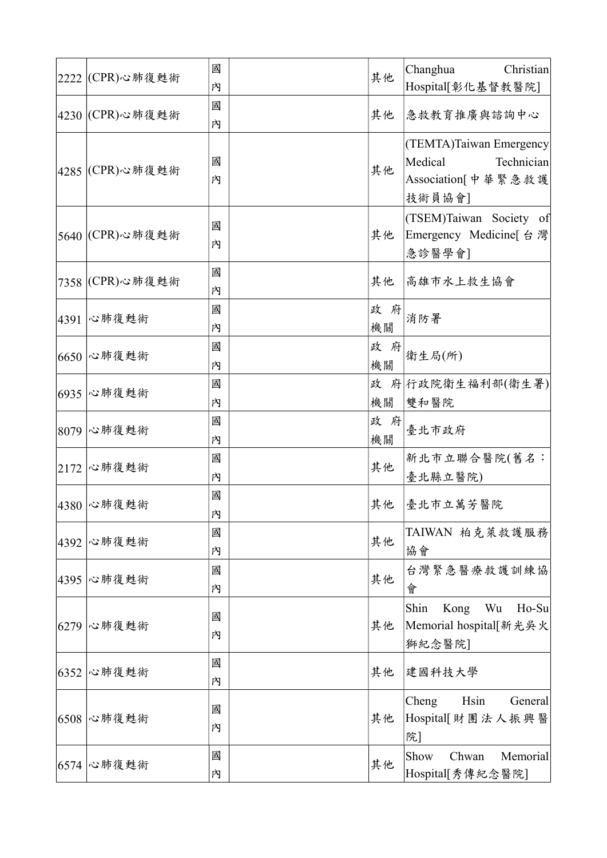|      | 2222  (CPR)心肺復甦術 | 國<br>內 | 其他        | Changhua<br>Christian<br>Hospital[彰化基督教醫院]                                       |
|------|------------------|--------|-----------|----------------------------------------------------------------------------------|
|      | 4230  (CPR)心肺復甦術 | 國<br>內 | 其他        | 急救教育推廣與諮詢中心                                                                      |
|      | 4285  (CPR)心肺復甦術 | 國<br>內 | 其他        | (TEMTA)Taiwan Emergency<br>Medical<br>Technician<br>Association[中華緊急救護<br>技術員協會] |
|      | 5640  (CPR)心肺復甦術 | 國<br>內 | 其他        | (TSEM)Taiwan Society of<br>Emergency Medicine[ 台 灣<br>急診醫學會]                     |
|      | 7358  (CPR)心肺復甦術 | 國<br>內 | 其他        | 高雄市水上救生協會                                                                        |
| 4391 | 心肺復甦術            | 國<br>內 | 政 府<br>機關 | 消防署                                                                              |
| 6650 | 心肺復甦術            | 國<br>內 | 政 府<br>機關 | 衛生局(所)                                                                           |
| 6935 | 心肺復甦術            | 國<br>內 | 政<br>機關   | 府 行政院衛生福利部(衛生署)<br>雙和醫院                                                          |
| 8079 | 心肺復甦術            | 國<br>內 | 政 府<br>機關 | 臺北市政府                                                                            |
| 2172 | 心肺復甦術            | 國<br>內 | 其他        | 新北市立聯合醫院(舊名:<br>臺北縣立醫院)                                                          |
|      | 4380 心肺復甦術       | 國<br>内 | 其他        | 臺北市立萬芳醫院                                                                         |
| 4392 | 心肺復甦術            | 國<br>內 | 其他        | TAIWAN 柏克萊救護服務<br>協會                                                             |
| 4395 | 心肺復甦術            | 國<br>內 | 其他        | 台灣緊急醫療救護訓練協<br>會                                                                 |
| 6279 | 心肺復甦術            | 國<br>內 | 其他        | Shin<br>Kong<br>Wu<br>Ho-Su<br>Memorial hospital[新光吳火<br>獅紀念醫院]                  |
| 6352 | 心肺復甦術            | 國<br>內 | 其他        | 建國科技大學                                                                           |
| 6508 | 心肺復甦術            | 國<br>內 | 其他        | Hsin<br>Cheng<br>General<br>Hospital[財團法人振興醫<br>院]                               |
| 6574 | 心肺復甦術            | 國<br>内 | 其他        | Show<br>Chwan<br>Memorial<br>Hospital[秀傳紀念醫院]                                    |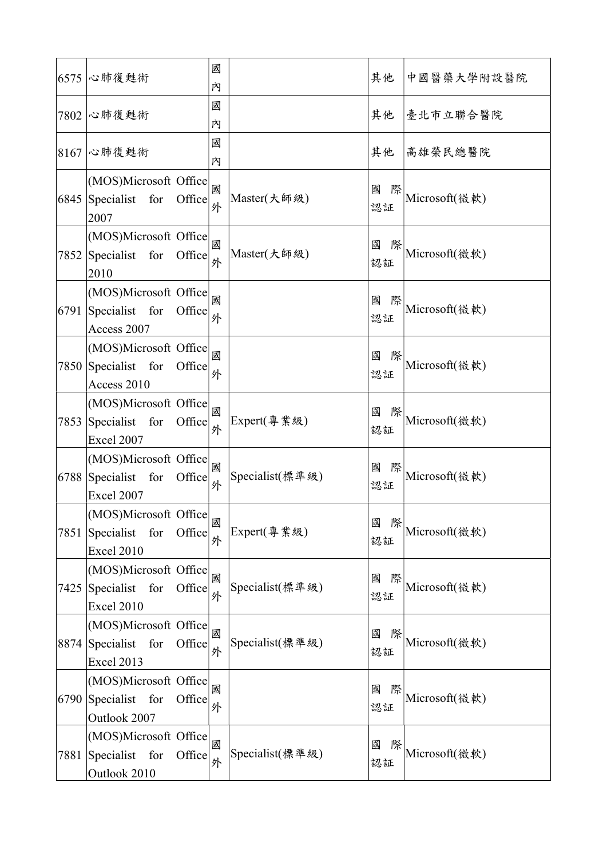| 6575 | 心肺復甦術                                                                    | 國<br>內 |                 | 其他           | 中國醫藥大學附設醫院    |
|------|--------------------------------------------------------------------------|--------|-----------------|--------------|---------------|
| 7802 | 心肺復甦術                                                                    | 國<br>內 |                 | 其他           | 臺北市立聯合醫院      |
| 8167 | 心肺復甦術                                                                    | 國<br>内 |                 | 其他           | 高雄榮民總醫院       |
| 6845 | (MOS)Microsoft Office<br>Specialist for<br>Office<br>2007                | 國<br>外 | Master(大師級)     | 國<br>際<br>認証 | Microsoft(微軟) |
| 7852 | (MOS)Microsoft Office<br>Specialist for<br>Office<br>2010                | 國<br>外 | Master(大師級)     | 國<br>際<br>認証 | Microsoft(微軟) |
| 6791 | (MOS)Microsoft Office<br>Specialist for<br>Office<br>Access 2007         | 國<br>外 |                 | 國<br>際<br>認証 | Microsoft(微軟) |
|      | (MOS)Microsoft Office<br>7850 Specialist for<br>Office<br>Access 2010    | 國<br>外 |                 | 國<br>際<br>認証 | Microsoft(微軟) |
| 7853 | (MOS)Microsoft Office<br>Specialist for<br>Office<br>Excel 2007          | 國<br>外 | Expert(專業級)     | 國<br>際<br>認証 | Microsoft(微軟) |
| 6788 | (MOS)Microsoft Office<br>Specialist for Office<br>Excel 2007             | 國<br>外 | Specialist(標準級) | 國<br>際<br>認証 | Microsoft(微軟) |
| 7851 | (MOS)Microsoft Office<br>Specialist for<br>Office<br><b>Excel 2010</b>   | 國<br>外 | Expert(專業級)     | 國<br>際<br>認証 | Microsoft(微軟) |
| 7425 | (MOS)Microsoft Office<br>Specialist for<br>Office<br>Excel 2010          | 國<br>外 | Specialist(標準級) | 國<br>際<br>認証 | Microsoft(微軟) |
| 8874 | (MOS)Microsoft Office<br>Specialist for<br>Office<br>Excel 2013          | 國<br>外 | Specialist(標準級) | 國<br>際<br>認証 | Microsoft(微軟) |
|      | (MOS)Microsoft Office<br>$6790$ Specialist for<br>Office<br>Outlook 2007 | 國<br>外 |                 | 國<br>際<br>認証 | Microsoft(微軟) |
| 7881 | (MOS)Microsoft Office<br>Specialist for<br>Office<br>Outlook 2010        | 國<br>外 | Specialist(標準級) | 國<br>際<br>認証 | Microsoft(微軟) |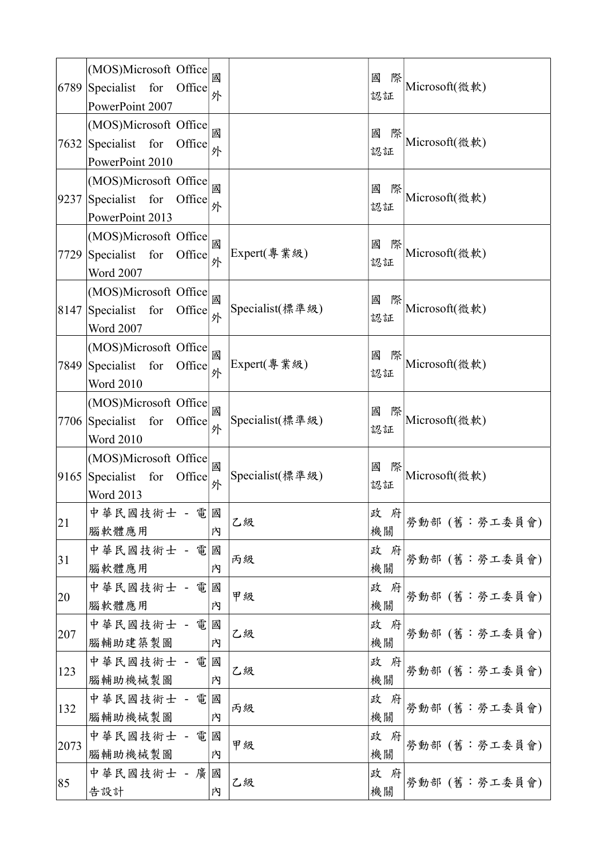| 6789 | (MOS)Microsoft Office<br>Specialist for<br>Office<br>PowerPoint 2007         | 國<br>外 |                 | 國<br>際<br>認証   | Microsoft(微軟) |
|------|------------------------------------------------------------------------------|--------|-----------------|----------------|---------------|
| 7632 | (MOS)Microsoft Office<br>Specialist for<br>Office<br>PowerPoint 2010         | 國<br>外 |                 | 國<br>際<br>認証   | Microsoft(微軟) |
| 9237 | (MOS)Microsoft Office<br>Specialist for<br>Office<br>PowerPoint 2013         | 國<br>外 |                 | 國<br>際<br>認証   | Microsoft(微軟) |
| 7729 | (MOS)Microsoft Office<br>Specialist for<br>Office<br><b>Word 2007</b>        | 國<br>外 | Expert(專業級)     | 國<br>際<br>認証   | Microsoft(微軟) |
| 8147 | (MOS)Microsoft Office<br>Specialist for<br>Office<br><b>Word 2007</b>        | 國<br>外 | Specialist(標準級) | 國<br>際<br>認証   | Microsoft(微軟) |
| 7849 | (MOS)Microsoft Office<br>Specialist for<br>Office<br><b>Word 2010</b>        | 國<br>外 | Expert(專業級)     | 國<br>際<br>認証   | Microsoft(微軟) |
|      | (MOS)Microsoft Office<br>$7706$ Specialist for<br>Office<br><b>Word 2010</b> | 國<br>外 | Specialist(標準級) | 國<br>際<br>認証   | Microsoft(微軟) |
| 9165 | (MOS)Microsoft Office<br>Specialist for<br>Office<br>Word 2013               | 國<br>外 | Specialist(標準級) | 國<br>際<br>認証   | Microsoft(微軟) |
| 21   | 中華民國技術士 - 電國<br>腦軟體應用                                                        | 内      | 乙級              | 政 府<br>機關      | 勞動部 (舊:勞工委員會) |
| 31   | 中華民國技術士 - 電<br>腦軟體應用                                                         | 國<br>內 | 丙級              | 政 府<br>機關      | 勞動部 (舊:勞工委員會) |
| 20   | 中華民國技術士 - 電<br>腦軟體應用                                                         | 國<br>內 | 甲級              | 政 府<br>機關      | 勞動部 (舊:勞工委員會) |
| 207  | 中華民國技術士 - 電<br>腦輔助建築製圖                                                       | 國<br>內 | 乙級              | 政 府<br>機關      | 勞動部 (舊:勞工委員會) |
| 123  | 中華民國技術士 - 電<br>腦輔助機械製圖                                                       | 國<br>內 | 乙級              | 政<br>- 府<br>機關 | 勞動部 (舊:勞工委員會) |
| 132  | 中華民國技術士 - 電<br>腦輔助機械製圖                                                       | 國<br>內 | 丙級              | 政 府<br>機關      | 勞動部 (舊:勞工委員會) |
| 2073 | 中華民國技術士 - 電<br>腦輔助機械製圖                                                       | 國<br>內 | 甲級              | 政 府<br>機關      | 勞動部 (舊:勞工委員會) |
| 85   | 中華民國技術士 - 廣<br>告設計                                                           | 國<br>内 | 乙級              | 政 府<br>機關      | 勞動部 (舊:勞工委員會) |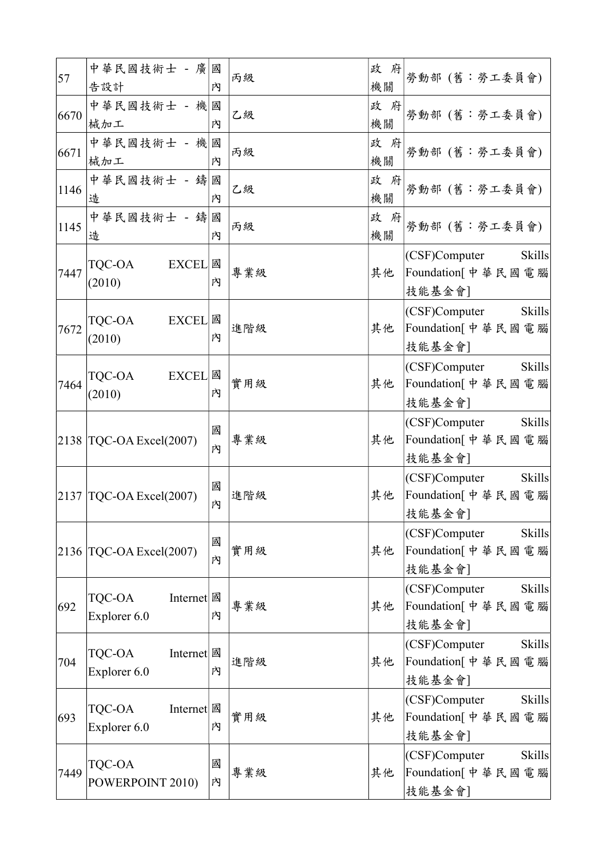| 57   | 中華民國技術士 - 廣<br>告設計                     | 國<br>内 | 丙級  | 政 府<br>機關    | 勞動部 (舊:勞工委員會)                                                         |
|------|----------------------------------------|--------|-----|--------------|-----------------------------------------------------------------------|
| 6670 | 中華民國技術士 - 機國<br>械加工                    | 內      | 乙級  | 政 府<br>機關    | 勞動部 (舊:勞工委員會)                                                         |
| 6671 | 中華民國技術士 - 機國<br>械加工                    | 内      | 丙級  | 政<br>府<br>機關 | 勞動部 (舊:勞工委員會)                                                         |
| 1146 | 中華民國技術士 - 鑄國<br>造                      | 内      | 乙級  | 政<br>府<br>機關 | 勞動部 (舊:勞工委員會)                                                         |
| 1145 | 中華民國技術士 - 鑄<br>造                       | 國<br>內 | 丙級  | 政 府<br>機關    | 勞動部 (舊:勞工委員會)                                                         |
| 7447 | TQC-OA<br><b>EXCEL</b><br>(2010)       | 國<br>內 | 專業級 | 其他           | (CSF)Computer<br><b>Skills</b><br>Foundation[中華民國電腦 <br>技能基金會]        |
| 7672 | TQC-OA<br><b>EXCEL</b><br>(2010)       | 國<br>內 | 進階級 | 其他           | (CSF)Computer<br><b>Skills</b><br>Foundation[中華民國電腦<br>技能基金會]         |
| 7464 | TQC-OA<br><b>EXCEL</b><br>(2010)       | 國<br>內 | 實用級 | 其他           | (CSF)Computer<br><b>Skills</b><br>Foundation[中華民國電腦<br>技能基金會]         |
|      | $ 2138 $ TQC-OA Excel $(2007)$         | 國<br>内 | 專業級 | 其他           | (CSF)Computer<br><b>Skills</b><br>Foundation[中華民國電腦<br>技能基金會]         |
| 2137 | TQC-OA Excel(2007)                     | 國<br>内 | 進階級 | 其他           | (CSF)Computer<br><b>Skills</b><br>Foundation[中華民國電腦<br>技能基金會]         |
|      | $2136$ TQC-OA Excel(2007)              | 國<br>内 | 實用級 | 其他           | (CSF)Computer<br><b>Skills</b><br> Foundation[中華民國電腦 <br>技能基金會]       |
| 692  | Internet   國<br>TQC-OA<br>Explorer 6.0 | 内      | 專業級 | 其他           | (CSF)Computer<br><b>Skills</b><br> Foundation[ 中 華 民 國 電 腦 <br>技能基金會] |
| 704  | TQC-OA<br>Internet   國<br>Explorer 6.0 | 内      | 進階級 | 其他           | <b>Skills</b><br>(CSF)Computer<br>Foundation[中華民國電腦<br>技能基金會]         |
| 693  | TQC-OA<br>Internet 國<br>Explorer 6.0   | 內      | 實用級 | 其他           | (CSF)Computer<br><b>Skills</b><br>Foundation[中華民國電腦<br>技能基金會]         |
| 7449 | <b>TQC-OA</b><br>POWERPOINT 2010)      | 國<br>内 | 專業級 | 其他           | (CSF)Computer<br><b>Skills</b><br>Foundation[中華民國電腦 <br>技能基金會]        |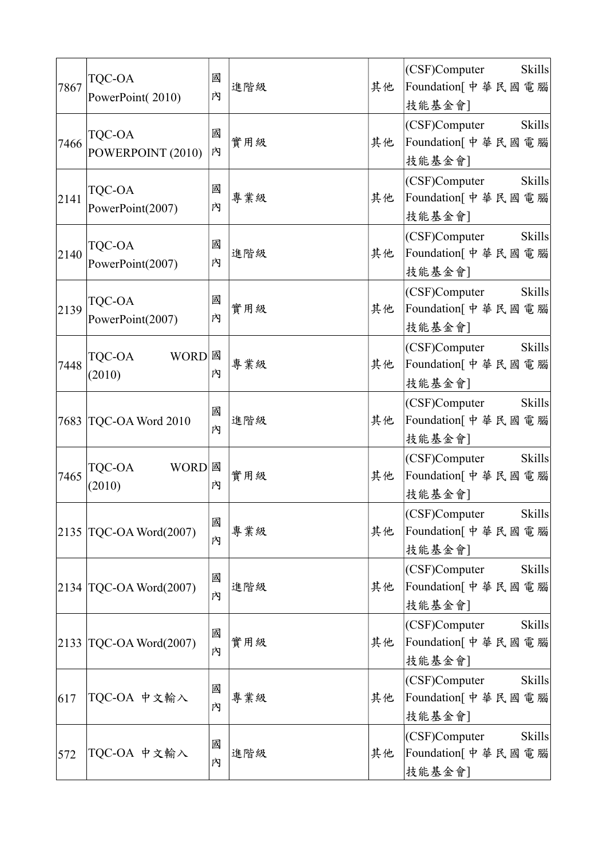| 7867 | <b>TQC-OA</b><br>PowerPoint(2010) | 國<br>內 | 進階級 | 其他 | <b>Skills</b><br>(CSF)Computer<br>Foundation[中華民國電腦<br>技能基金會]  |
|------|-----------------------------------|--------|-----|----|----------------------------------------------------------------|
| 7466 | TQC-OA<br>POWERPOINT (2010)       | 國<br>内 | 實用級 | 其他 | (CSF)Computer<br><b>Skills</b><br>Foundation[中華民國電腦<br>技能基金會]  |
| 2141 | TQC-OA<br>PowerPoint(2007)        | 國<br>內 | 專業級 | 其他 | (CSF)Computer<br><b>Skills</b><br>Foundation[中華民國電腦<br>技能基金會]  |
| 2140 | TQC-OA<br>PowerPoint(2007)        | 國<br>內 | 進階級 | 其他 | <b>Skills</b><br>(CSF)Computer<br>Foundation[中華民國電腦<br>技能基金會]  |
| 2139 | TQC-OA<br>PowerPoint(2007)        | 國<br>內 | 實用級 | 其他 | (CSF)Computer<br><b>Skills</b><br>Foundation[中華民國電腦<br>技能基金會]  |
| 7448 | WORD <b>國</b><br>TQC-OA<br>(2010) | 內      | 專業級 | 其他 | (CSF)Computer<br><b>Skills</b><br>Foundation[中華民國電腦<br>技能基金會]  |
|      | 7683 TQC-OA Word 2010             | 國<br>內 | 進階級 | 其他 | (CSF)Computer<br><b>Skills</b><br>Foundation[中華民國電腦<br>技能基金會]  |
| 7465 | TQC-OA<br><b>WORD</b><br>(2010)   | 國<br>內 | 實用級 | 其他 | (CSF)Computer<br><b>Skills</b><br>Foundation[中華民國電腦<br>技能基金會]  |
|      | $2135$ TQC-OA Word $(2007)$       | 國<br>內 | 專業級 | 其他 | <b>Skills</b><br>(CSF)Computer<br>Foundation[中華民國電腦]<br>技能基金會] |
|      | $2134$ TQC-OA Word $(2007)$       | 國<br>內 | 進階級 | 其他 | (CSF)Computer<br><b>Skills</b><br>Foundation[中華民國電腦 <br>技能基金會] |
|      | $ 2133 $ TQC-OA Word $(2007)$     | 國<br>內 | 實用級 | 其他 | (CSF)Computer<br><b>Skills</b><br>Foundation[中華民國電腦]<br>技能基金會] |
| 617  | TQC-OA 中文輸入                       | 國<br>內 | 專業級 | 其他 | (CSF)Computer<br><b>Skills</b><br>Foundation[中華民國電腦 <br>技能基金會] |
| 572  | TQC-OA 中文輸入                       | 國<br>內 | 進階級 | 其他 | (CSF)Computer<br><b>Skills</b><br>Foundation[中華民國電腦 <br>技能基金會] |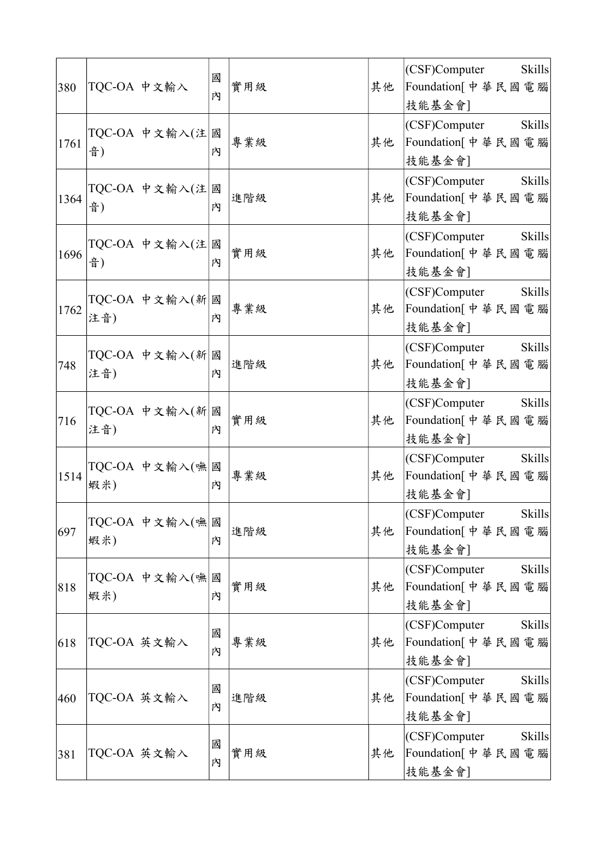| 380  |     | TQC-OA 中文輸入    | 國<br>內 | 實用級 | 其他 | (CSF)Computer<br><b>Skills</b><br>Foundation[中華民國電腦 <br>技能基金會] |
|------|-----|----------------|--------|-----|----|----------------------------------------------------------------|
| 1761 | 音)  | TQC-OA 中文輸入(注  | 國<br>內 | 專業級 | 其他 | (CSF)Computer<br><b>Skills</b><br>Foundation[中華民國電腦<br>技能基金會]  |
| 1364 | 音)  | TQC-OA 中文輸入(注  | 國<br>內 | 進階級 | 其他 | (CSF)Computer<br><b>Skills</b><br>Foundation[中華民國電腦 <br>技能基金會] |
| 1696 | 音)  | TQC-OA 中文輸入(注  | 國<br>內 | 實用級 | 其他 | <b>Skills</b><br>(CSF)Computer<br>Foundation[中華民國電腦<br>技能基金會]  |
| 1762 | 注音) | TQC-OA 中文輸入(新  | 國<br>內 | 專業級 | 其他 | <b>Skills</b><br>(CSF)Computer<br>Foundation[中華民國電腦<br>技能基金會]  |
| 748  | 注音) | TQC-OA 中文輸入(新  | 國<br>內 | 進階級 | 其他 | <b>Skills</b><br>(CSF)Computer<br>Foundation[中華民國電腦<br>技能基金會]  |
| 716  | 注音) | TQC-OA 中文輸入(新  | 國<br>內 | 實用級 | 其他 | <b>Skills</b><br>(CSF)Computer<br>Foundation[中華民國電腦<br>技能基金會]  |
| 1514 | 蝦米) | TQC-OA 中文輸入(嘸  | 國<br>內 | 專業級 | 其他 | (CSF)Computer<br><b>Skills</b><br>Foundation[中華民國電腦<br>技能基金會]  |
| 697  | 蝦米) | TQC-OA 中文輸入(嘸國 | 內      | 進階級 | 其他 | (CSF)Computer Skills<br>Foundation[中華民國電腦]<br>技能基金會]           |
| 818  | 蝦米) | TQC-OA 中文輸入(嘸  | 國<br>內 | 實用級 | 其他 | (CSF)Computer<br><b>Skills</b><br>Foundation[中華民國電腦 <br>技能基金會] |
| 618  |     | TQC-OA 英文輸入    | 國<br>內 | 專業級 | 其他 | (CSF)Computer<br><b>Skills</b><br>Foundation[中華民國電腦 <br>技能基金會] |
| 460  |     | TQC-OA 英文輸入    | 國<br>內 | 進階級 | 其他 | <b>Skills</b><br>(CSF)Computer<br>Foundation[中華民國電腦 <br>技能基金會] |
| 381  |     | TQC-OA 英文輸入    | 國<br>內 | 實用級 | 其他 | (CSF)Computer<br><b>Skills</b><br>Foundation[中華民國電腦 <br>技能基金會] |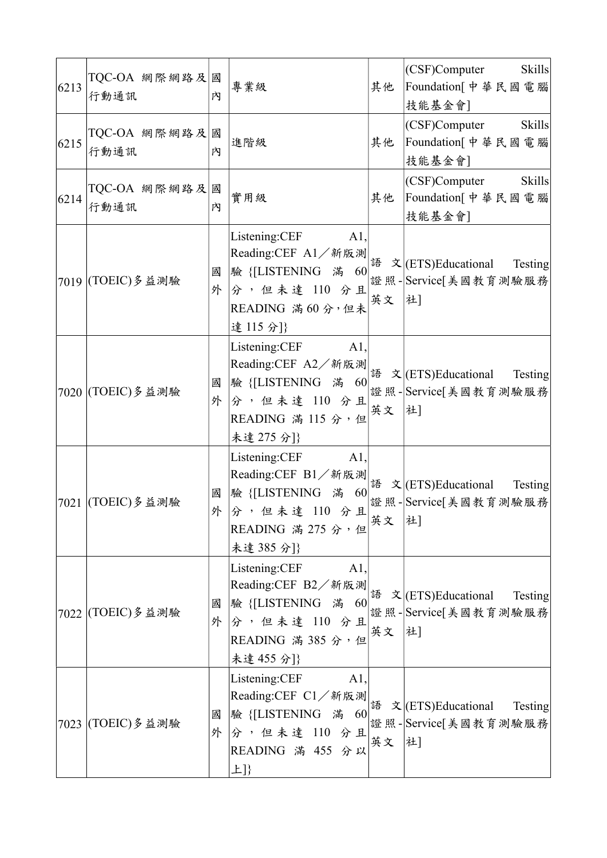| 6213 | TQC-OA 網際網路及<br>行動通訊  | 國<br>内 | 專業級                                                                                                                                      | 其他    | (CSF)Computer<br>Skills<br>Foundation[中華民國電腦 <br>技能基金會]                                                                                                                                                                                                                                                                                                                                                                                                |
|------|-----------------------|--------|------------------------------------------------------------------------------------------------------------------------------------------|-------|--------------------------------------------------------------------------------------------------------------------------------------------------------------------------------------------------------------------------------------------------------------------------------------------------------------------------------------------------------------------------------------------------------------------------------------------------------|
| 6215 | TQC-OA 網際網路及 <br>行動通訊 | 國<br>內 | 進階級                                                                                                                                      | 其他    | (CSF)Computer<br><b>Skills</b><br>Foundation[中華民國電腦<br>技能基金會]                                                                                                                                                                                                                                                                                                                                                                                          |
| 6214 | TQC-OA 網際網路及<br>行動通訊  | 國<br>内 | 實用級                                                                                                                                      | 其他    | (CSF)Computer Skills<br>Foundation[中華民國電腦 <br>技能基金會]                                                                                                                                                                                                                                                                                                                                                                                                   |
|      | 7019 (TOEIC) 多益測驗     | 國<br>外 | Listening:CEF<br>A1,<br>分,但未達 110 分且<br>READING 滿60分,但未<br>達115分]}                                                                       | 英文 社] | Reading:CEF A1/新版測<br>$\mathbb{E}[\mathbb{E}[\text{Res}(\mathcal{L})] = \mathbb{E}[\mathbb{E}[\text{Res}(\mathcal{L})] = \mathbb{E}[\mathbb{E}[\text{Res}(\mathcal{L})] = \mathbb{E}[\mathbb{E}[\text{Res}(\mathcal{L})] = \mathbb{E}[\mathbb{E}[\text{Res}(\mathcal{L})] = \mathbb{E}[\mathbb{E}[\text{Res}(\mathcal{L})] = \mathbb{E}[\mathbb{E}[\text{Res}(\mathcal{L})] = \mathbb{E}[\mathbb{E}[\text{Res}(\mathcal{L})] =$<br>證照-Service[美國教育測驗服務 |
|      | 7020 (TOEIC) 多益測驗     | 國<br>外 | Listening:CEF A1,<br>分,但未達 110 分且<br>READING 滿 115 分,但<br>未達 275 分]}                                                                     | 英文    | Reading:CEF A2/新版測<br>語 文 (ETS)Educational Testing<br>證照-Service[美國教育測驗服務 <br> 社]                                                                                                                                                                                                                                                                                                                                                                      |
|      | 7021 (TOEIC)多益測驗      | 國<br>外 | Listening:CEF A1,<br>分,但未達 110 分且<br>READING 滿 275 分,但<br>未達 385 分]}                                                                     | 英文 社] | Reading:CEF B1/新版測<br>語 文 (ETS)Educational Testing<br>證照-Service[美國教育測驗服務                                                                                                                                                                                                                                                                                                                                                                              |
|      | 7022 (TOEIC)多益測驗      | 國<br>外 | Listening:CEF<br>$A1$ ,<br>Reading:CEF B2/新版測<br>語 文 (ETS)Educational<br>分,但未達 110 分且<br>READING 滿 385 分,但<br>未達 455 分]}                 | 英文 社] |                                                                                                                                                                                                                                                                                                                                                                                                                                                        |
|      | 7023 (TOEIC)多益測驗      | 國      | Listening:CEF<br>$A1$ ,<br>Reading:CEF C1/新版測<br> 語 文 (ETS)Educational<br>驗 {[LISTENING 滿 60<br>外分,但未達 110 分且<br>READING 滿 455 分以<br>上]} | 英文    | Testing<br>證照-Service[美國教育測驗服務<br>社                                                                                                                                                                                                                                                                                                                                                                                                                    |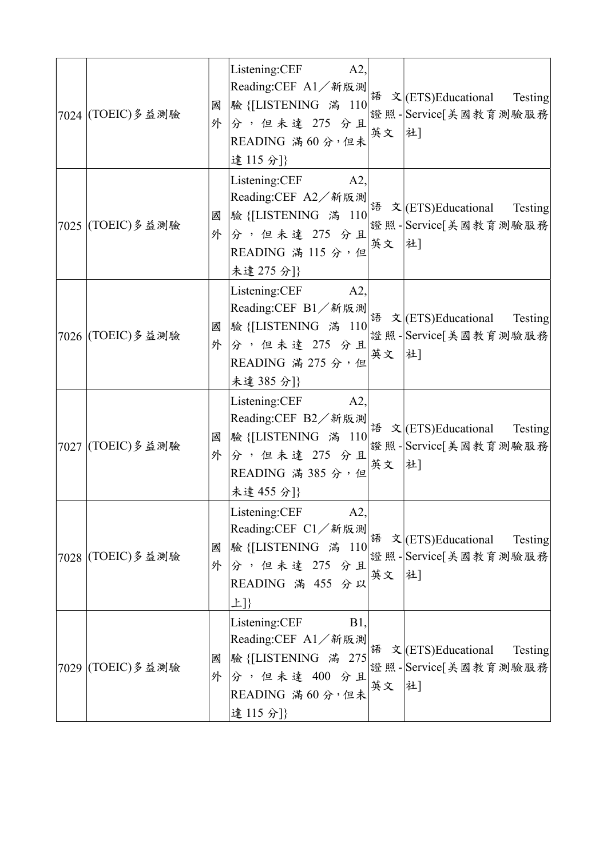| 7024 (TOEIC) 多益測驗 | 國      | Listening:CEF<br>A2<br> 驗 {[LISTENING 滿 110 <br>外分,但未達 275 分且<br>READING 滿60分,但未<br>達115分]}       | 英文 社]  | 證照-Service[美國教育測驗服務                                                                                                                                 |
|-------------------|--------|---------------------------------------------------------------------------------------------------|--------|-----------------------------------------------------------------------------------------------------------------------------------------------------|
| 7025 (TOEIC) 多益測驗 | 國<br>外 | Listening:CEF A2,<br>分,但未達 275 分且<br>READING 滿 115 分,但<br>未達 275 分]}                              | 英文  社] |                                                                                                                                                     |
| 7026 (TOEIC) 多益測驗 | 國      | Listening:CEF A2,<br>外分,但未達 275 分且<br>READING 滿 275 分,但<br>未達385分]}                               | 英文  社] | Reading:CEF B1/新版測<br>$\frac{25.535}{100}$ $\frac{25.535}{100}$ $\frac{25.535}{100}$ $\frac{25.535}{100}$ $\frac{25.535}{100}$ $\frac{25.535}{100}$ |
| 7027 (TOEIC) 多益測驗 | 國<br>外 | Listening:CEF A2,<br> 驗 {[LISTENING 滿 110 <br>分,但未達 275 分且<br>READING 滿 385 分,但<br>未達 455 分]}     | 英文     | Reading:CEF B2/新版測<br>語 文 (ETS)Educational Testing<br>證照-Service[美國教育測驗服務<br> 社]                                                                    |
| 7028 (TOEIC)多益測驗  | 國<br>外 | Listening:CEF<br>A2,<br> 驗 {[LISTENING 滿 110 <br>分,但未達 275 分且<br>READING 滿 455 分以<br>上]}          | 英文     | Testing<br>證照-Service[美國教育測驗服務<br> 社]                                                                                                               |
| 7029 (TOEIC) 多益測驗 | 國<br>外 | Listening:CEF<br><b>B1</b> ,<br>驗 {[LISTENING 滿 275<br>分,但未達 400 分且<br>READING 滿60分,但未<br>達115分]} | 英文     | Testing<br>證照-Service[美國教育測驗服務<br>社]                                                                                                                |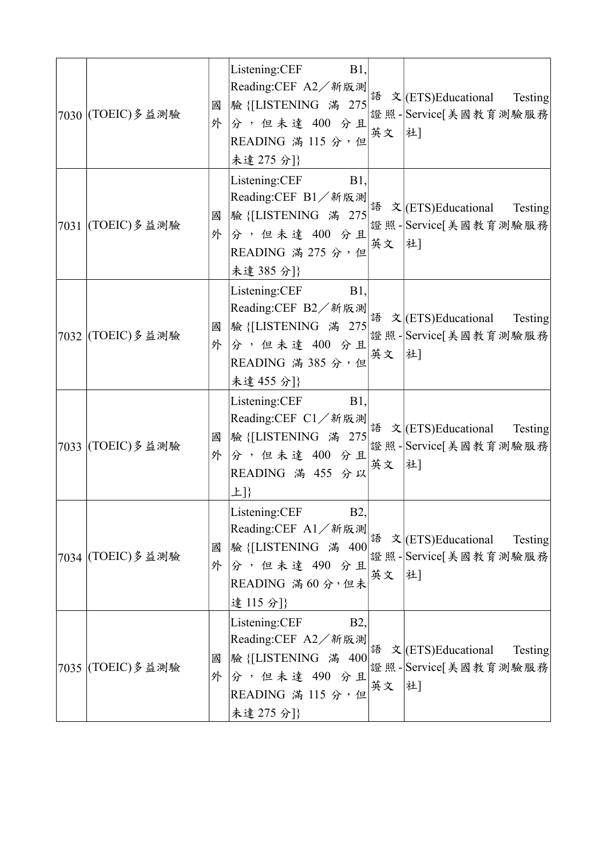| 7030 (TOEIC) 多益測驗    | 國<br>外 | Listening:CEF<br><b>B</b> 1,<br> 分,但未達 400 分且 <br>READING 滿 115 分,但<br>未達 275 分]}                                             | 英文 社]  | Reading:CEF A2/新版測<br>Reading:CEF A2/新版測<br>$\frac{3\pi}{275}$ $\propto$ (ETS)Educational Testing<br>證照-Service[美國教育測驗服務                                                                                                                                |
|----------------------|--------|-------------------------------------------------------------------------------------------------------------------------------|--------|---------------------------------------------------------------------------------------------------------------------------------------------------------------------------------------------------------------------------------------------------------|
| 7031 (TOEIC) 多益測驗    | 國<br>外 | Listening: CEF B1,<br> 驗 {[LISTENING 滿 275 <br>$\left \hat{\mathcal{S}}\right $ , 但未達 400 分且<br>READING 滿 275 分,但<br>未達385分]} | 英文  社] | Reading:CEF B1/新版測<br>eading:CEF B1/新版測<br>explorer to a contract of the state of the state of the state of the state of the state of the state of the state of the state of the state of the state of the state of the state of<br>證照-Service[美國教育測驗服務 |
| 7032 (TOEIC) 多益測驗    | 國<br>外 | Listening:CEF B1,<br>分,但未達 400 分且<br>READING 滿 385 分,但<br>未達 455 分]}                                                          | 英文  社] | Reading:CEF B2/新版測<br>eading:CEF B2/新版測<br>explorer to the state of the state of the state of the state of the state of the state of the state of the state of the state of the state of the state of the state of the state of<br>證照-Service[美國教育測驗服務  |
| 7033 (TOEIC) 多 益 測 驗 | 國<br>外 | Listening:CEF B1,<br> 驗 {[LISTENING 滿 275 <br>分,但未達 400 分且<br>READING 滿 455 分以<br>上]}                                         | 英文     | Reading:CEF C1/新版測<br>eading:CEF C1/新版測<br>exceptional Testing<br>證照-Service[美國教育測驗服務<br> 社]                                                                                                                                                            |
| 7034 (TOEIC) 多益測驗    | 國<br>外 | Listening:CEF<br><b>B2</b> ,<br>Reading:CEF A1/新版測<br>語 文 (ETS)Educational<br>分,但未達 490 分且<br>READING 滿60分,但未<br>達115分]}      | 英文     | 驗 {[LISTENING 滿 400  " 「 '-- ,<br> 證照 - Service[美國教育測驗服務 <br> 社]                                                                                                                                                                                        |
| 7035 (TOEIC) 多益測驗    | 國<br>外 | Listening:CEF<br><b>B2</b> ,<br>分,但未達 490 分且<br>READING 滿 115 分,但<br>未達 275 分]}                                               | 英文     | <b>Testing</b><br> 驗{[LISTENING 滿 400  " 「   '-   '- ' ' ' ' '   'Service[美國教育測驗服務 <br> 證照 -   Service[美國教育測驗服務 <br> 社]                                                                                                                                 |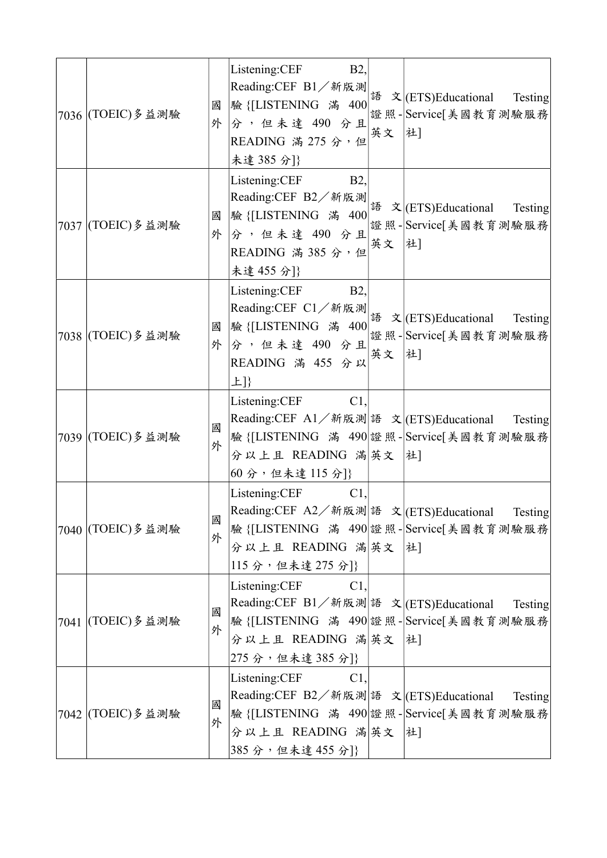| 7036 (TOEIC) 多益測驗    | 國<br>外 | Listening:CEF<br><b>B2</b> ,<br>READING 滿 275 分,但<br>未達385分]}                                                | 英文 社] |                                                                                                                                           |
|----------------------|--------|--------------------------------------------------------------------------------------------------------------|-------|-------------------------------------------------------------------------------------------------------------------------------------------|
| 7037 (TOEIC) 多益測驗    | 國<br>外 | Listening: CEF B2,<br>READING 滿 385 分,但<br>未達 455 分]}                                                        | 英文 社] | Reading:CEF B2/新版測<br>$\left \frac{R}{2}\right  \times \left \frac{1}{2}\right  \times \left \frac{1}{2}\right $ (ETS)Educational Testing |
| 7038 (TOEIC) 多益測驗    | 國<br>外 | Listening:CEF B2,<br>READING 滿 455 分以<br>上]}                                                                 | 英文 社] | 输 {[LISTENING 滿 400  " ~  ' 」 ~ ~ ,<br> 驗 {[LISTENING 滿 400  " ※ ~   證照 -   Service[美國教育測驗服務                                              |
| 7039 (TOEIC) 多益測驗    | 國<br>外 | Listening:CEF C1,<br>分以上且 READING 滿英文 社]<br>60分,但未達115分]}                                                    |       | Reading:CEF A1/新版測 語 文 (ETS)Educational Testing<br>驗 {[LISTENING 滿 490 證照- Service[美國教育測驗服務                                               |
| 7040 (TOEIC)多益測驗     | 國<br>外 | Listening:CEF<br>$C1$ ,<br>分以上且 READING 滿英文 社<br>115分,但未達 275分]}                                             |       | Reading:CEF A2/新版測語 文 (ETS)Educational Testing<br>驗 {[LISTENING 滿 490 證照- Service[美國教育測驗服務]                                               |
| 7041 (TOEIC) 多 益 測 驗 | 國<br>外 | Listening:CEF<br>$C1$ .<br>Reading:CEF B1/新版測 語 文  (ETS)Educational<br>分以上且 READING 滿英文 社]<br>275分,但未達385分]} |       | Testing<br>驗 {[LISTENING 滿 490 證照- Service[美國教育測驗服務                                                                                       |
| 7042 (TOEIC) 多益測驗    | 國<br>外 | Listening:CEF<br>$C1$ .<br>Reading:CEF B2/新版測 語 文 (ETS)Educational<br>分以上且 READING 滿英文 社]<br>385分,但未達455分]}  |       | Testing<br>驗 {[LISTENING 滿 490 證照- Service[美國教育測驗服務]                                                                                      |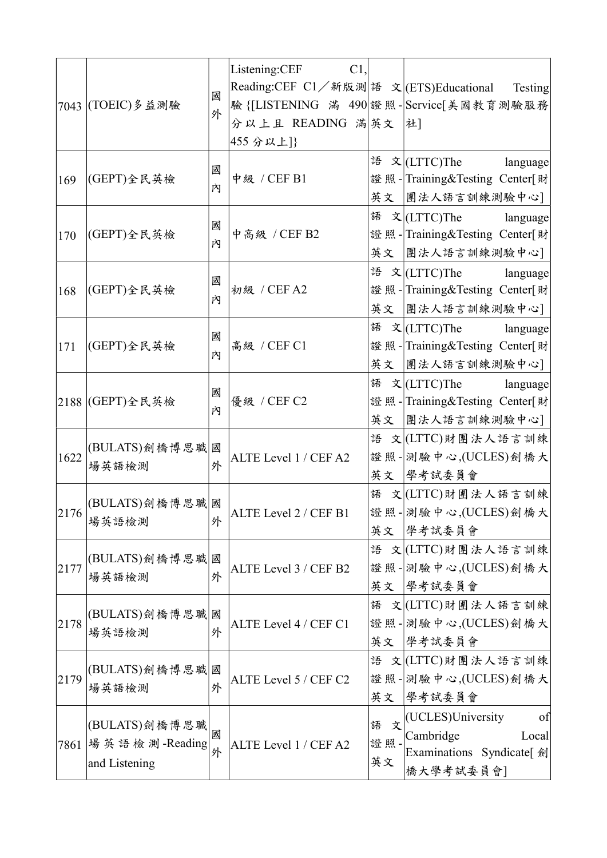|      | 7043 (TOEIC) 多益測驗                                           | 國<br>外 | Listening:CEF<br>C1,<br>Reading:CEF C1/新版測 語 文 (ETS)Educational<br>分以上且 READING 滿英文<br>455 分以上]} |                     | Testing<br>驗 {[LISTENING 滿 490 證照- Service[美國教育測驗服務<br> 社]                              |
|------|-------------------------------------------------------------|--------|--------------------------------------------------------------------------------------------------|---------------------|-----------------------------------------------------------------------------------------|
| 169  | (GEPT)全民英檢                                                  | 國<br>內 | 中级 / CEF B1                                                                                      | 英文                  | 語 文 (LTTC)The language<br>證照-Training&Testing Center[財<br> 團法人語言訓練測驗中心]                 |
| 170  | (GEPT)全民英檢                                                  | 國<br>內 | 中高級 / CEF B2                                                                                     |                     | 語 文   (LTTC)The language<br>證照-Training&Testing Center[財<br>英文 團法人語言訓練測驗中心]             |
| 168  | (GEPT)全民英檢                                                  | 國<br>內 | 初級 / CEF A2                                                                                      | 英文                  | 語 文   (LTTC)The language<br>證照-Training&Testing Center[財<br> 團法人語言訓練測驗中心]               |
| 171  | (GEPT)全民英檢                                                  | 國<br>内 | 高級 / CEF C1                                                                                      | 語<br>英文             | $\dot{\mathbf{x}}$ (LTTC)The language<br>證照-Training&Testing Center[財<br> 團法人語言訓練測驗中心]  |
|      | 2188  (GEPT)全民英檢                                            | 國<br>內 | 優級 / CEF C2                                                                                      | 英文                  | 語 文 (LTTC)The language<br>證照-Training&Testing Center[財<br> 團法人語言訓練測驗中心]                 |
| 1622 | (BULATS)劍橋博思職<br>場英語檢測                                      | 國<br>外 | ALTE Level 1 / CEF A2                                                                            | 語<br>英文             | 文 (LTTC)財團法人語言訓練<br>證照-測驗中心,(UCLES)劍橋大<br> 學考試委員會                                       |
| 2176 | (BULATS)劍橋博思職 國<br>場英語檢測                                    | 外      | ALTE Level 2 / CEF B1                                                                            | 語<br>英文             | 文 (LTTC)財團法人語言訓練<br>證照- 測驗中心,(UCLES)劍橋大<br> 學考試委員會                                      |
| 2177 | (BULATS)劍橋博思職<br>場英語檢測                                      | 國<br>外 | ALTE Level 3 / CEF B2                                                                            | 語                   | 文 (LTTC)財團法人語言訓練<br>證照-測驗中心,(UCLES)劍橋大<br>英文 學考試委員會                                     |
| 2178 | (BULATS)劍橋博思職<br>場英語檢測                                      | 國<br>外 | ALTE Level 4 / CEF C1                                                                            | 語<br>英文             | 文 (LTTC)財團法人語言訓練<br>證照-測驗中心,(UCLES)劍橋大<br> 學考試委員會                                       |
| 2179 | (BULATS)劍橋博思職<br>場英語檢測                                      | 國<br>外 | ALTE Level 5 / CEF C2                                                                            | 語                   | 文 (LTTC)財團法人語言訓練<br>證照- 測驗中心,(UCLES)劍橋大<br>英文 學考試委員會                                    |
|      | (BULATS)劍橋博思職<br>7861   場 英 語 檢 測 -Reading<br>and Listening | 國<br>外 | ALTE Level 1 / CEF A2                                                                            | 語<br>文<br>證照·<br>英文 | (UCLES)University<br>of<br>Cambridge<br>Local<br>Examinations Syndicate[ 劍<br>橋大學考試委員會] |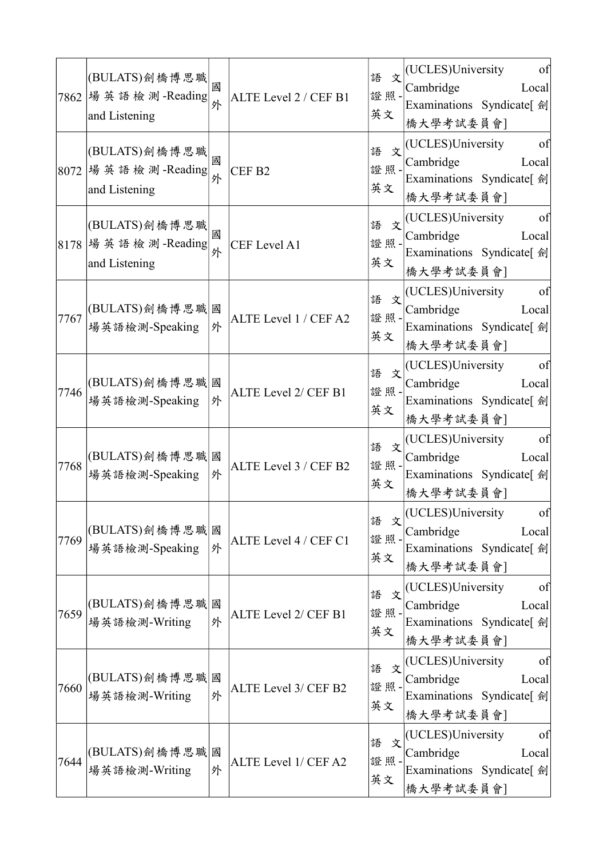|      | (BULATS)劍橋博思職<br>7862   場 英 語 檢 測 -Reading<br>and Listening  | 國<br>外 | ALTE Level 2 / CEF B1 | 語<br>文<br>證照·<br>英文 | (UCLES)University<br>of<br>Cambridge<br>Local<br>Examinations Syndicate[ 劍<br>橋大學考試委員會] |
|------|--------------------------------------------------------------|--------|-----------------------|---------------------|-----------------------------------------------------------------------------------------|
|      | (BULATS)劍橋博思職<br> 8072  場 英 語 檢 測 -Reading <br>and Listening | 國<br>外 | CEF <sub>B2</sub>     | 語<br>文<br>證照·<br>英文 | (UCLES)University<br>of<br>Cambridge<br>Local<br>Examinations Syndicate[ 劍<br>橋大學考試委員會] |
|      | (BULATS)劍橋博思職<br> 8178  場 英 語 檢 測 -Reading <br>and Listening | 國<br>外 | CEF Level A1          | 語<br>文<br>證照·<br>英文 | (UCLES)University<br>of<br>Cambridge<br>Local<br>Examinations Syndicate[ 劍<br>橋大學考試委員會] |
| 7767 | (BULATS)劍橋博思職 <br>場英語檢測-Speaking                             | 國<br>外 | ALTE Level 1 / CEF A2 | 語<br>文<br>證照-<br>英文 | (UCLES)University<br>of<br>Cambridge<br>Local<br>Examinations Syndicate[ 劍<br>橋大學考試委員會] |
| 7746 | (BULATS)劍橋博思職 國<br>場英語檢測-Speaking                            | 外      | ALTE Level 2/ CEF B1  | 語<br>文<br>證照·<br>英文 | (UCLES)University<br>of<br>Cambridge<br>Local<br>Examinations Syndicate[ 劍<br>橋大學考試委員會] |
| 7768 | (BULATS)劍橋博思職 <br>場英語檢測-Speaking                             | 國<br>外 | ALTE Level 3 / CEF B2 | 語<br>文<br>證照-<br>英文 | (UCLES)University<br>of<br>Cambridge<br>Local<br>Examinations Syndicate[ 劍<br>橋大學考試委員會] |
| 7769 | (BULATS)劍橋博思職 <br>場英語檢測-Speaking                             | 國<br>外 | ALTE Level 4 / CEF C1 | 語<br>文<br>證照<br>英文  | (UCLES)University<br>of<br>Cambridge<br>Local<br>Examinations Syndicate[ 劍<br>橋大學考試委員會] |
| 7659 | (BULATS)劍橋博思職<br>場英語檢測-Writing                               | 國<br>外 | ALTE Level 2/ CEF B1  | 語<br>文<br>證照<br>英文  | (UCLES)University<br>of<br>Cambridge<br>Local<br>Examinations Syndicate[ 劍<br>橋大學考試委員會] |
| 7660 | (BULATS)劍橋博思職<br>場英語檢測-Writing                               | 國<br>外 | ALTE Level 3/ CEF B2  | 語<br>文<br>證照·<br>英文 | (UCLES)University<br>of<br>Cambridge<br>Local<br>Examinations Syndicate[ 劍<br>橋大學考試委員會] |
| 7644 | (BULATS)劍橋博思職 <br>場英語檢測-Writing                              | 國<br>外 | ALTE Level 1/ CEF A2  | 語<br>文<br>證照<br>英文  | (UCLES)University<br>of<br>Cambridge<br>Local<br>Examinations Syndicate[ 劍<br>橋大學考試委員會] |